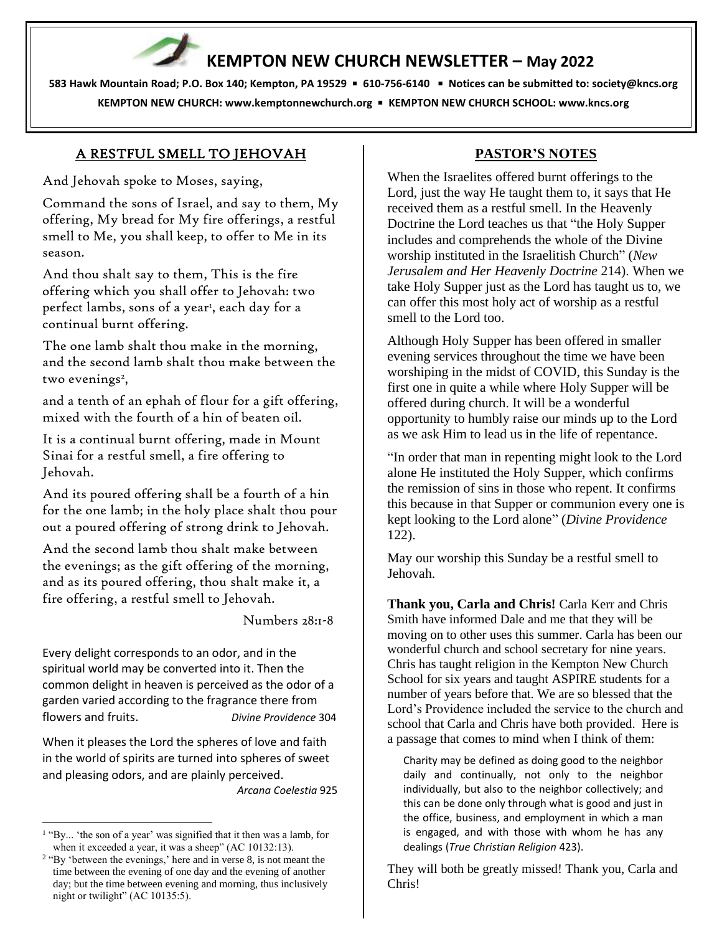# **KEMPTON NEW CHURCH NEWSLETTER – May 2022**

**583 Hawk Mountain Road; P.O. Box 140; Kempton, PA 19529** ▪ **610-756-6140** ▪ **Notices can be submitted to: [society@kncs.org](mailto:society@kncs.org) KEMPTON NEW CHURCH: www[.kemptonnewchurch.org](http://www.kemptonnewchurch.org/)** ▪ **KEMPTON NEW CHURCH SCHOOL: [www.kncs.org](http://www.kncs.org/)**

## A RESTFUL SMELL TO JEHOVAH

And Jehovah spoke to Moses, saying,

Command the sons of Israel, and say to them, My offering, My bread for My fire offerings, a restful smell to Me, you shall keep, to offer to Me in its season.

And thou shalt say to them, This is the fire offering which you shall offer to Jehovah: two perfect lambs, sons of a year<sup>1</sup>, each day for a continual burnt offering.

The one lamb shalt thou make in the morning, and the second lamb shalt thou make between the two evenings<sup>2</sup>,

and a tenth of an ephah of flour for a gift offering, mixed with the fourth of a hin of beaten oil.

It is a continual burnt offering, made in Mount Sinai for a restful smell, a fire offering to Jehovah.

And its poured offering shall be a fourth of a hin for the one lamb; in the holy place shalt thou pour out a poured offering of strong drink to Jehovah.

And the second lamb thou shalt make between the evenings; as the gift offering of the morning, and as its poured offering, thou shalt make it, a fire offering, a restful smell to Jehovah.

Numbers 28:1-8

Every delight corresponds to an odor, and in the spiritual world may be converted into it. Then the common delight in heaven is perceived as the odor of a garden varied according to the fragrance there from flowers and fruits. *Divine Providence* 304

When it pleases the Lord the spheres of love and faith in the world of spirits are turned into spheres of sweet and pleasing odors, and are plainly perceived.  *Arcana Coelestia* 925

## **PASTOR'S NOTES**

When the Israelites offered burnt offerings to the Lord, just the way He taught them to, it says that He received them as a restful smell. In the Heavenly Doctrine the Lord teaches us that "the Holy Supper includes and comprehends the whole of the Divine worship instituted in the Israelitish Church" (*New Jerusalem and Her Heavenly Doctrine* 214). When we take Holy Supper just as the Lord has taught us to, we can offer this most holy act of worship as a restful smell to the Lord too.

Although Holy Supper has been offered in smaller evening services throughout the time we have been worshiping in the midst of COVID, this Sunday is the first one in quite a while where Holy Supper will be offered during church. It will be a wonderful opportunity to humbly raise our minds up to the Lord as we ask Him to lead us in the life of repentance.

"In order that man in repenting might look to the Lord alone He instituted the Holy Supper, which confirms the remission of sins in those who repent. It confirms this because in that Supper or communion every one is kept looking to the Lord alone" (*Divine Providence* 122).

May our worship this Sunday be a restful smell to Jehovah.

**Thank you, Carla and Chris!** Carla Kerr and Chris Smith have informed Dale and me that they will be moving on to other uses this summer. Carla has been our wonderful church and school secretary for nine years. Chris has taught religion in the Kempton New Church School for six years and taught ASPIRE students for a number of years before that. We are so blessed that the Lord's Providence included the service to the church and school that Carla and Chris have both provided. Here is a passage that comes to mind when I think of them:

Charity may be defined as doing good to the neighbor daily and continually, not only to the neighbor individually, but also to the neighbor collectively; and this can be done only through what is good and just in the office, business, and employment in which a man is engaged, and with those with whom he has any dealings (*True Christian Religion* 423).

They will both be greatly missed! Thank you, Carla and Chris!

<sup>&</sup>lt;sup>1</sup> "By... 'the son of a year' was signified that it then was a lamb, for when it exceeded a year, it was a sheep" (AC 10132:13).

<sup>&</sup>lt;sup>2</sup> "By 'between the evenings,' here and in verse 8, is not meant the time between the evening of one day and the evening of another day; but the time between evening and morning, thus inclusively night or twilight" (AC 10135:5).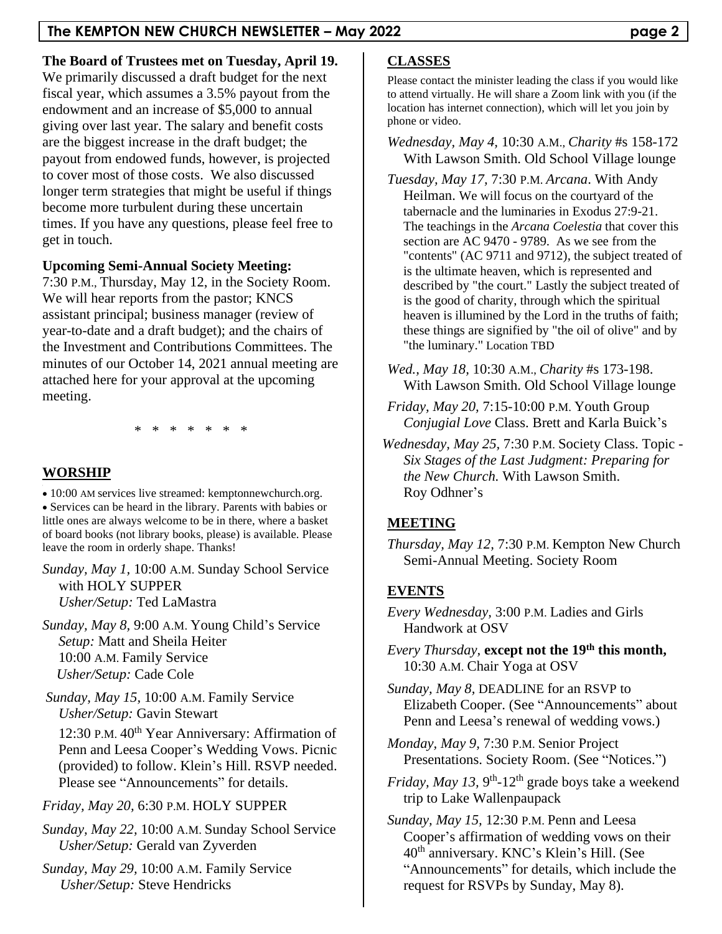**The Board of Trustees met on Tuesday, April 19.**

We primarily discussed a draft budget for the next fiscal year, which assumes a 3.5% payout from the endowment and an increase of \$5,000 to annual giving over last year. The salary and benefit costs are the biggest increase in the draft budget; the payout from endowed funds, however, is projected to cover most of those costs. We also discussed longer term strategies that might be useful if things become more turbulent during these uncertain times. If you have any questions, please feel free to get in touch.

# **Upcoming Semi-Annual Society Meeting:**

7:30 P.M., Thursday, May 12, in the Society Room. We will hear reports from the pastor; KNCS assistant principal; business manager (review of year-to-date and a draft budget); and the chairs of the Investment and Contributions Committees. The minutes of our October 14, 2021 annual meeting are attached here for your approval at the upcoming meeting.

\* \* \* \* \* \* \*

# **WORSHIP**

• 10:00 AM services live streamed: kemptonnewchurch.org. • Services can be heard in the library. Parents with babies or little ones are always welcome to be in there, where a basket of board books (not library books, please) is available. Please leave the room in orderly shape. Thanks!

*Sunday, May 1,* 10:00 A.M. Sunday School Service with HOLY SUPPER *Usher/Setup:* Ted LaMastra

*Sunday, May 8,* 9:00 A.M. Young Child's Service *Setup:* Matt and Sheila Heiter 10:00 A.M. Family Service *Usher/Setup:* Cade Cole

*Sunday, May 15,* 10:00 A.M. Family Service *Usher/Setup:* Gavin Stewart

12:30 P.M. 40<sup>th</sup> Year Anniversary: Affirmation of Penn and Leesa Cooper's Wedding Vows. Picnic (provided) to follow. Klein's Hill. RSVP needed. Please see "Announcements" for details.

*Friday, May 20,* 6:30 P.M. HOLY SUPPER

*Sunday, May 22,* 10:00 A.M. Sunday School Service *Usher/Setup:* Gerald van Zyverden

*Sunday, May 29,* 10:00 A.M. Family Service *Usher/Setup:* Steve Hendricks

# **CLASSES**

Please contact the minister leading the class if you would like to attend virtually. He will share a Zoom link with you (if the location has internet connection), which will let you join by phone or video.

*Wednesday, May 4,* 10:30 A.M., *Charity* #s 158-172 With Lawson Smith. Old School Village lounge

*Tuesday, May 17,* 7:30 P.M. *Arcana*. With Andy Heilman. We will focus on the courtyard of the tabernacle and the luminaries in Exodus 27:9-21. The teachings in the *Arcana Coelestia* that cover this section are AC 9470 - 9789. As we see from the "contents" (AC 9711 and 9712), the subject treated of is the ultimate heaven, which is represented and described by "the court." Lastly the subject treated of is the good of charity, through which the spiritual heaven is illumined by the Lord in the truths of faith; these things are signified by "the oil of olive" and by "the luminary." Location TBD

- *Wed., May 18,* 10:30 A.M., *Charity* #s 173-198. With Lawson Smith. Old School Village lounge
- *Friday, May 20,* 7:15-10:00 P.M. Youth Group *Conjugial Love* Class. Brett and Karla Buick's
- *Wednesday, May 25,* 7:30 P.M. Society Class. Topic *Six Stages of the Last Judgment: Preparing for the New Church.* With Lawson Smith. Roy Odhner's

# **MEETING**

*Thursday, May 12,* 7:30 P.M. Kempton New Church Semi-Annual Meeting. Society Room

# **EVENTS**

- *Every Wednesday,* 3:00 P.M. Ladies and Girls Handwork at OSV
- *Every Thursday, except not the 19<sup>th</sup> this month,* 10:30 A.M. Chair Yoga at OSV

*Sunday, May 8,* DEADLINE for an RSVP to Elizabeth Cooper. (See "Announcements" about Penn and Leesa's renewal of wedding vows.)

*Monday, May 9,* 7:30 P.M. Senior Project Presentations. Society Room. (See "Notices.")

*Friday, May 13, 9<sup>th</sup>*-12<sup>th</sup> grade boys take a weekend trip to Lake Wallenpaupack

*Sunday, May 15,* 12:30 P.M. Penn and Leesa Cooper's affirmation of wedding vows on their 40th anniversary. KNC's Klein's Hill. (See "Announcements" for details, which include the request for RSVPs by Sunday, May 8).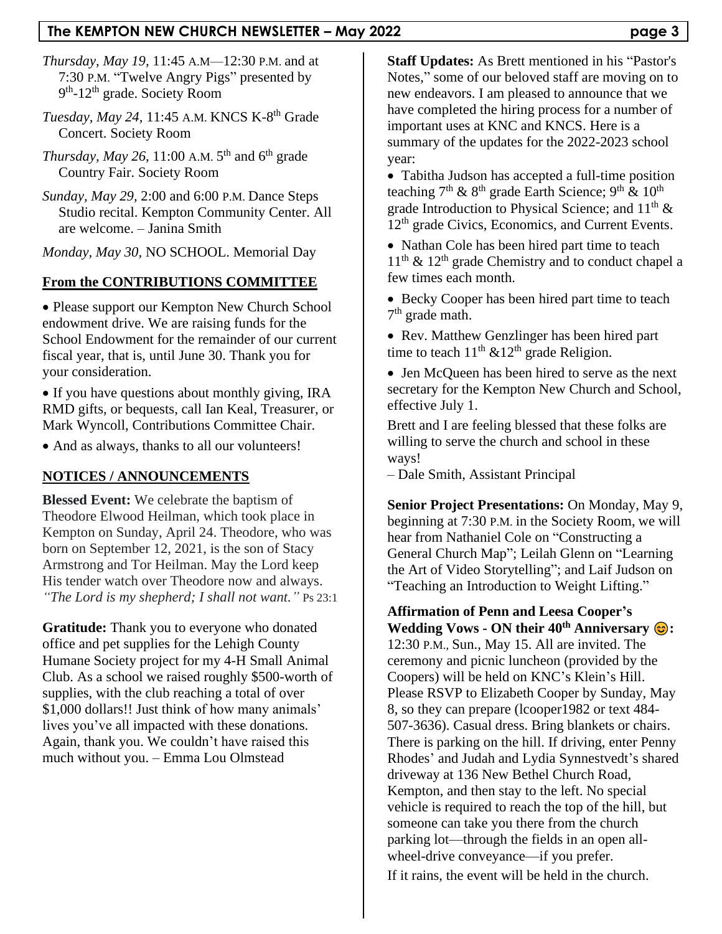## **The KEMPTON NEW CHURCH NEWSLETTER – May 2022 page 3**

- *Thursday, May 19,* 11:45 A.M—12:30 P.M. and at 7:30 P.M. "Twelve Angry Pigs" presented by 9<sup>th</sup>-12<sup>th</sup> grade. Society Room
- *Tuesday, May 24,* 11:45 A.M. KNCS K-8 th Grade Concert. Society Room
- *Thursday, May 26, 11:00 A.M.* 5<sup>th</sup> and 6<sup>th</sup> grade Country Fair. Society Room
- *Sunday, May 29,* 2:00 and 6:00 P.M. Dance Steps Studio recital. Kempton Community Center. All are welcome. – Janina Smith

*Monday, May 30,* NO SCHOOL. Memorial Day

### **From the CONTRIBUTIONS COMMITTEE**

• Please support our Kempton New Church School endowment drive. We are raising funds for the School Endowment for the remainder of our current fiscal year, that is, until June 30. Thank you for your consideration.

• If you have questions about monthly giving, IRA RMD gifts, or bequests, call Ian Keal, Treasurer, or Mark Wyncoll, Contributions Committee Chair.

• And as always, thanks to all our volunteers!

### **NOTICES / ANNOUNCEMENTS**

**Blessed Event:** We celebrate the baptism of Theodore Elwood Heilman, which took place in Kempton on Sunday, April 24. Theodore, who was born on September 12, 2021, is the son of Stacy Armstrong and Tor Heilman. May the Lord keep His tender watch over Theodore now and always. *"The Lord is my shepherd; I shall not want."* Ps 23:1

**Gratitude:** Thank you to everyone who donated office and pet supplies for the Lehigh County Humane Society project for my 4-H Small Animal Club. As a school we raised roughly \$500-worth of supplies, with the club reaching a total of over \$1,000 dollars!! Just think of how many animals' lives you've all impacted with these donations. Again, thank you. We couldn't have raised this much without you. – Emma Lou Olmstead

**Staff Updates:** As Brett mentioned in his "Pastor's Notes," some of our beloved staff are moving on to new endeavors. I am pleased to announce that we have completed the hiring process for a number of important uses at KNC and KNCS. Here is a summary of the updates for the 2022-2023 school year:

• Tabitha Judson has accepted a full-time position teaching 7<sup>th</sup> & 8<sup>th</sup> grade Earth Science; 9<sup>th</sup> & 10<sup>th</sup> grade Introduction to Physical Science; and  $11<sup>th</sup>$  & 12<sup>th</sup> grade Civics, Economics, and Current Events.

• Nathan Cole has been hired part time to teach  $11<sup>th</sup>$  &  $12<sup>th</sup>$  grade Chemistry and to conduct chapel a few times each month.

• Becky Cooper has been hired part time to teach 7<sup>th</sup> grade math.

• Rev. Matthew Genzlinger has been hired part time to teach  $11<sup>th</sup>$  &  $12<sup>th</sup>$  grade Religion.

• Jen McQueen has been hired to serve as the next secretary for the Kempton New Church and School, effective July 1.

Brett and I are feeling blessed that these folks are willing to serve the church and school in these ways!

– Dale Smith, Assistant Principal

**Senior Project Presentations:** On Monday, May 9, beginning at 7:30 P.M. in the Society Room, we will hear from Nathaniel Cole on "Constructing a General Church Map"; Leilah Glenn on "Learning the Art of Video Storytelling"; and Laif Judson on "Teaching an Introduction to Weight Lifting."

**Affirmation of Penn and Leesa Cooper's Wedding Vows - ON their 40th Anniversary :**  12:30 P.M., Sun., May 15. All are invited. The ceremony and picnic luncheon (provided by the Coopers) will be held on KNC's Klein's Hill. Please RSVP to Elizabeth Cooper by Sunday, May 8, so they can prepare (lcooper1982 or text 484- 507-3636). Casual dress. Bring blankets or chairs. There is parking on the hill. If driving, enter Penny Rhodes' and Judah and Lydia Synnestvedt's shared driveway at 136 New Bethel Church Road, Kempton, and then stay to the left. No special vehicle is required to reach the top of the hill, but someone can take you there from the church parking lot—through the fields in an open allwheel-drive conveyance—if you prefer. If it rains, the event will be held in the church.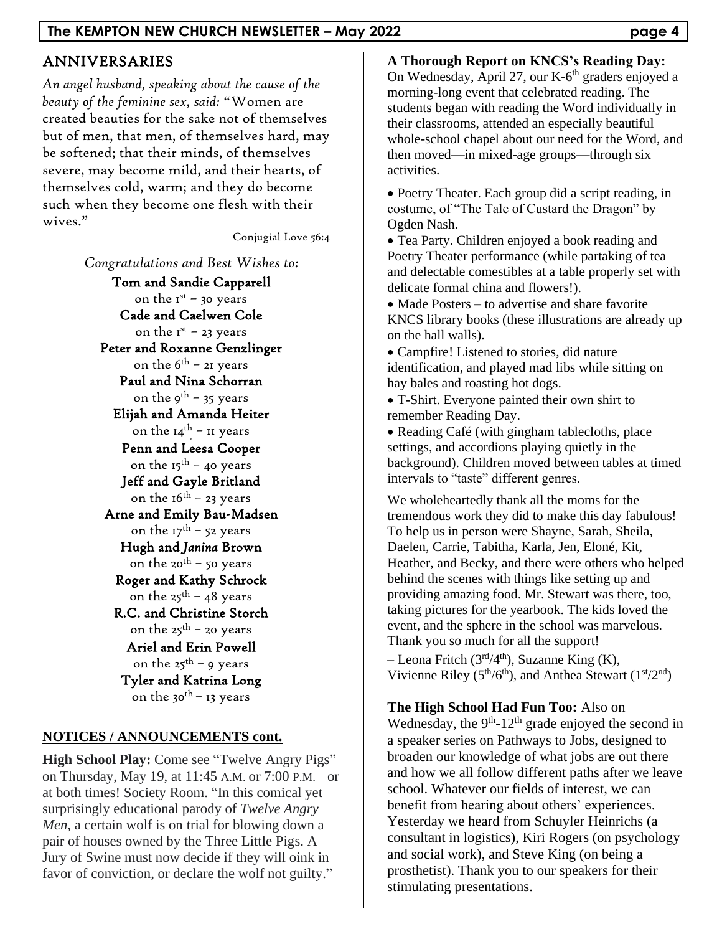# ANNIVERSARIES

*An angel husband, speaking about the cause of the beauty of the feminine sex, said:* "Women are created beauties for the sake not of themselves but of men, that men, of themselves hard, may be softened; that their minds, of themselves severe, may become mild, and their hearts, of themselves cold, warm; and they do become such when they become one flesh with their wives."

Conjugial Love 56:4

*Congratulations and Best Wishes to:*

Tom and Sandie Capparell on the  $I^{st}$  – 30 years Cade and Caelwen Cole on the 1<sup>st</sup> - 23 years Peter and Roxanne Genzlinger on the  $6<sup>th</sup>$  – 21 years Paul and Nina Schorran on the  $9^{th}$  – 35 years Elijah and Amanda Heiter on the 14<sup>th –</sup> 11 years Penn and Leesa Cooper on the  $15^{th}$  – 40 years Jeff and Gayle Britland on the  $16^{th}$  – 23 years Arne and Emily Bau-Madsen on the  $17^{th}$  – 52 years Hugh and *Janina* Brown on the 20<sup>th</sup> – 50 years Roger and Kathy Schrock on the 25<sup>th</sup> – 48 years R.C. and Christine Storch on the 25<sup>th</sup> – 20 years Ariel and Erin Powell on the  $25^{th}$  – 9 years Tyler and Katrina Long on the 30<sup>th</sup> – 13 years

### **NOTICES / ANNOUNCEMENTS cont.**

**High School Play:** Come see "Twelve Angry Pigs" on Thursday, May 19, at 11:45 A.M. or 7:00 P.M.—or at both times! Society Room. "In this comical yet surprisingly educational parody of *Twelve Angry Men*, a certain wolf is on trial for blowing down a pair of houses owned by the Three Little Pigs. A Jury of Swine must now decide if they will oink in favor of conviction, or declare the wolf not guilty."

**A Thorough Report on KNCS's Reading Day:**

On Wednesday, April 27, our K-6<sup>th</sup> graders enjoyed a morning-long event that celebrated reading. The students began with reading the Word individually in their classrooms, attended an especially beautiful whole-school chapel about our need for the Word, and then moved—in mixed-age groups—through six activities.

• Poetry Theater. Each group did a script reading, in costume, of "The Tale of Custard the Dragon" by Ogden Nash.

• Tea Party. Children enjoyed a book reading and Poetry Theater performance (while partaking of tea and delectable comestibles at a table properly set with delicate formal china and flowers!).

• Made Posters – to advertise and share favorite KNCS library books (these illustrations are already up on the hall walls).

• Campfire! Listened to stories, did nature identification, and played mad libs while sitting on hay bales and roasting hot dogs.

• T-Shirt. Everyone painted their own shirt to remember Reading Day.

• Reading Café (with gingham tablecloths, place settings, and accordions playing quietly in the background). Children moved between tables at timed intervals to "taste" different genres.

We wholeheartedly thank all the moms for the tremendous work they did to make this day fabulous! To help us in person were Shayne, Sarah, Sheila, Daelen, Carrie, Tabitha, Karla, Jen, Eloné, Kit, Heather, and Becky, and there were others who helped behind the scenes with things like setting up and providing amazing food. Mr. Stewart was there, too, taking pictures for the yearbook. The kids loved the event, and the sphere in the school was marvelous. Thank you so much for all the support!

– Leona Fritch ( $3<sup>rd</sup>/4<sup>th</sup>$ ), Suzanne King (K), Vivienne Riley ( $5<sup>th</sup>/6<sup>th</sup>$ ), and Anthea Stewart ( $1<sup>st</sup>/2<sup>nd</sup>$ )

**The High School Had Fun Too:** Also on Wednesday, the  $9<sup>th</sup>$ -12<sup>th</sup> grade enjoyed the second in a speaker series on Pathways to Jobs, designed to broaden our knowledge of what jobs are out there and how we all follow different paths after we leave school. Whatever our fields of interest, we can benefit from hearing about others' experiences. Yesterday we heard from Schuyler Heinrichs (a consultant in logistics), Kiri Rogers (on psychology and social work), and Steve King (on being a prosthetist). Thank you to our speakers for their stimulating presentations.